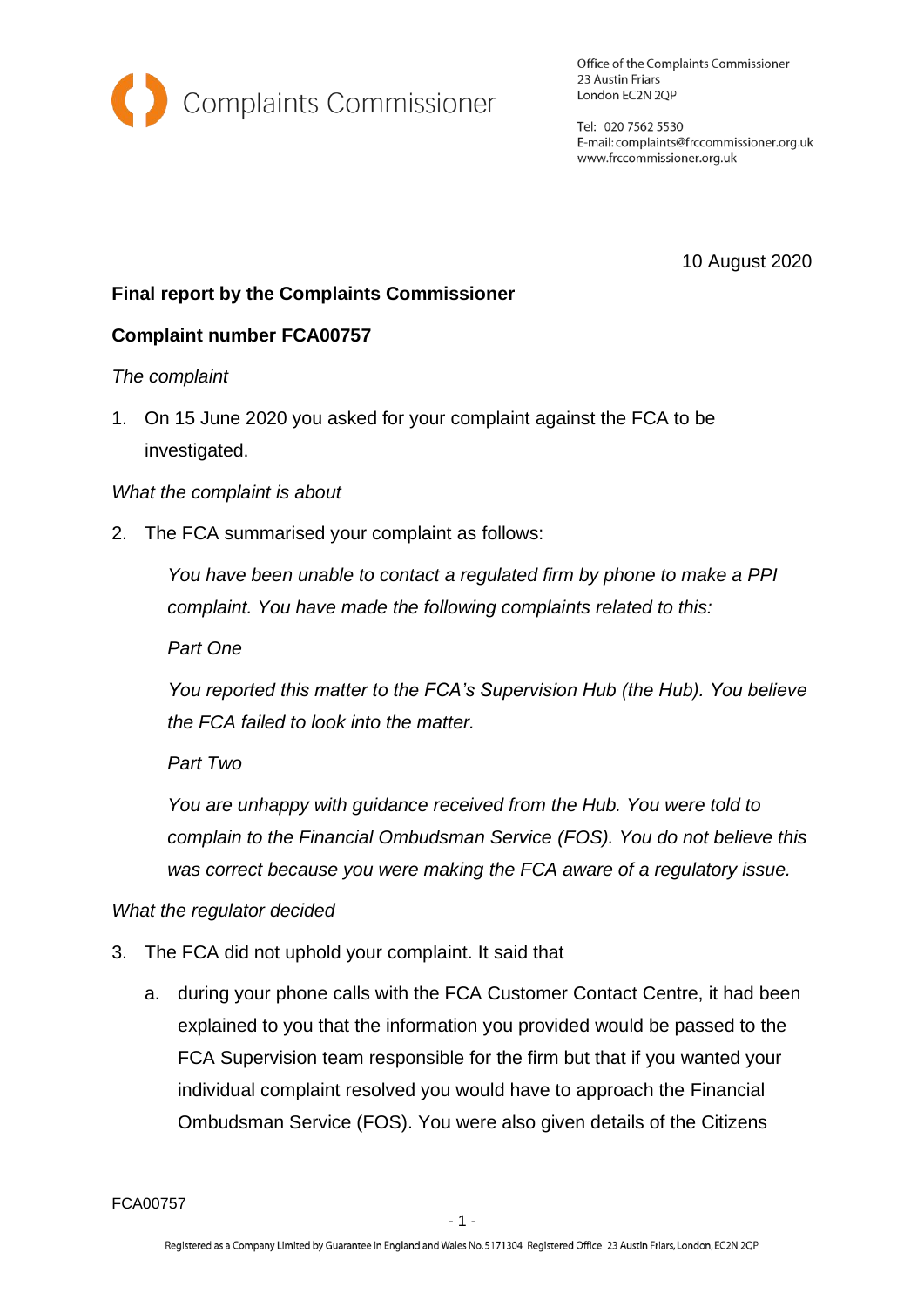

Office of the Complaints Commissioner 23 Austin Friars London EC2N 2QP

Tel: 020 7562 5530 E-mail: complaints@frccommissioner.org.uk www.frccommissioner.org.uk

10 August 2020

# **Final report by the Complaints Commissioner**

## **Complaint number FCA00757**

### *The complaint*

1. On 15 June 2020 you asked for your complaint against the FCA to be investigated.

#### *What the complaint is about*

2. The FCA summarised your complaint as follows:

*You have been unable to contact a regulated firm by phone to make a PPI complaint. You have made the following complaints related to this:* 

*Part One*

*You reported this matter to the FCA's Supervision Hub (the Hub). You believe the FCA failed to look into the matter.* 

*Part Two*

*You are unhappy with guidance received from the Hub. You were told to complain to the Financial Ombudsman Service (FOS). You do not believe this was correct because you were making the FCA aware of a regulatory issue.*

### *What the regulator decided*

- 3. The FCA did not uphold your complaint. It said that
	- a. during your phone calls with the FCA Customer Contact Centre, it had been explained to you that the information you provided would be passed to the FCA Supervision team responsible for the firm but that if you wanted your individual complaint resolved you would have to approach the Financial Ombudsman Service (FOS). You were also given details of the Citizens

FCA00757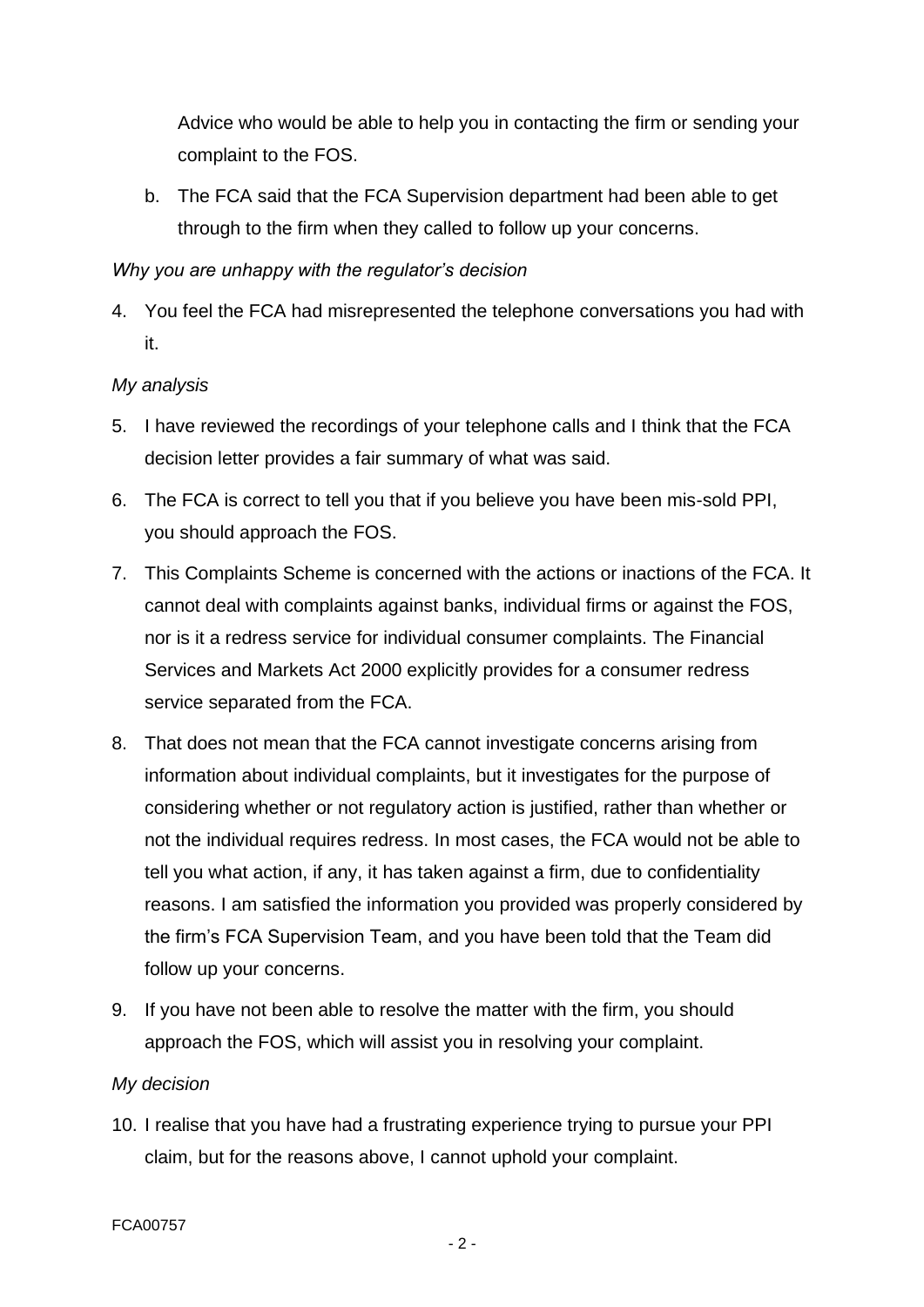Advice who would be able to help you in contacting the firm or sending your complaint to the FOS.

b. The FCA said that the FCA Supervision department had been able to get through to the firm when they called to follow up your concerns.

## *Why you are unhappy with the regulator's decision*

4. You feel the FCA had misrepresented the telephone conversations you had with it.

## *My analysis*

- 5. I have reviewed the recordings of your telephone calls and I think that the FCA decision letter provides a fair summary of what was said.
- 6. The FCA is correct to tell you that if you believe you have been mis-sold PPI, you should approach the FOS.
- 7. This Complaints Scheme is concerned with the actions or inactions of the FCA. It cannot deal with complaints against banks, individual firms or against the FOS, nor is it a redress service for individual consumer complaints. The Financial Services and Markets Act 2000 explicitly provides for a consumer redress service separated from the FCA.
- 8. That does not mean that the FCA cannot investigate concerns arising from information about individual complaints, but it investigates for the purpose of considering whether or not regulatory action is justified, rather than whether or not the individual requires redress. In most cases, the FCA would not be able to tell you what action, if any, it has taken against a firm, due to confidentiality reasons. I am satisfied the information you provided was properly considered by the firm's FCA Supervision Team, and you have been told that the Team did follow up your concerns.
- 9. If you have not been able to resolve the matter with the firm, you should approach the FOS, which will assist you in resolving your complaint.

## *My decision*

10. I realise that you have had a frustrating experience trying to pursue your PPI claim, but for the reasons above, I cannot uphold your complaint.